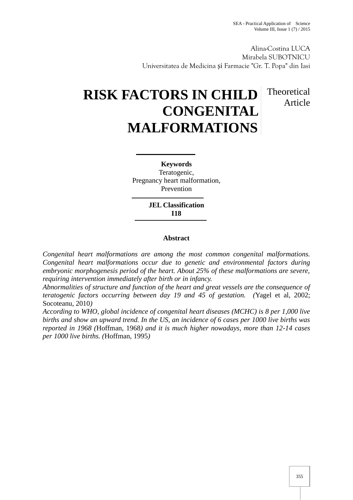Alina-Costina LUCA Mirabela SUBOTNICU Universitatea de Medicina i Farmacie "Gr. T. Popa" din Iasi

## **RISK FACTORS IN CHILD CONGENITAL MALFORMATIONS** Theoretical Article

**Keywords** Teratogenic, Pregnancy heart malformation, Prevention

> **JEL Classification I18**

## **Abstract**

*Congenital heart malformations are among the most common congenital malformations. Congenital heart malformations occur due to genetic and environmental factors during embryonic morphogenesis period of the heart. About 25% of these malformations are severe, requiring intervention immediately after birth or in infancy.*

*Abnormalities of structure and function of the heart and great vessels are the consequence of teratogenic factors occurring between day 19 and 45 of gestation. (*Yagel et al, 2002; Socoteanu, 2010*)*

*According to WHO, global incidence of congenital heart diseases (MCHC) is 8 per 1,000 live births and show an upward trend. In the US, an incidence of 6 cases per 1000 live births was reported in 1968 (*Hoffman, 1968*) and it is much higher nowadays, more than 12-14 cases per 1000 live births. (*Hoffman, 1995*)*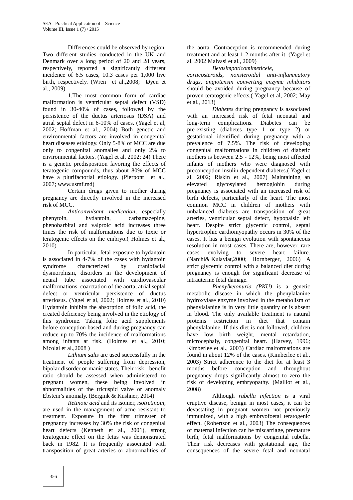Differences could be observed by region. Two different studies conducted in the UK and Denmark over a long period of 20 and 28 years, respectively, reported a significantly different incidence of 6.5 cases, 10.3 cases per 1,000 live birth, respectively. (Wren et al.,2008; Øyen et al., 2009)

1.The most common form of cardiac malformation is ventricular septal defect (VSD) found in 30-40% of cases, followed by the persistence of the ductus arteriosus (DSA) and atrial septal defect in 6-10% of cases. (Yagel et al, 2002; Hoffman et al., 2004) Both genetic and environmental factors are involved in congenital heart diseases etiology. Only 5-8% of MCC are due only to congenital anomalies and only 2% to environmental factors. (Yagel et al, 2002; 24) There is a genetic predisposition favoring the effects of teratogenic compounds, thus about 80% of MCC have a plurifactorial etiology. (Pierpont et al., 2007; www.usmf.md)

Certain drugs given to mother during pregnancy are directly involved in the increased risk of MCC.

*Anticonvulsant medication*, especially phenytoin, hydantoin, carbamazepine, phenobarbital and valproic acid increases three times the risk of malformations due to toxic or teratogenic effects on the embryo.( Holmes et al., 2010)

In particular, fetal exposure to hydantoin is associated in 4-7% of the cases with hydantoin syndrome characterized by craniofacial dysmorphism, disorders in the development of neural tube associated with cardiovascular malformations: coarctation of the aorta, atrial septal defect or ventricular persistence of ductus arteriosus. (Yagel et al, 2002; Holmes et al., 2010) Hydantoin inhibits the absorption of folic acid, the created deficiency being involved in the etiology of this syndrome. Taking folic acid supplements before conception based and during pregnancy can reduce up to 70% the incidence of malformations among infants at risk. (Holmes et al., 2010; Nicolai et al.,2008 )

*Lithium salts* are used successfully in the treatment of people suffering from depression, bipolar disorder or manic states. Their risk - benefit ratio should be assessed when administered to pregnant women, these being involved in abnormalities of the tricuspid valve or anomaly Ebstein's anomaly. (Bergink & Kushner, 2014)

*Retinoic acid* and its isomer, *isotretinoin*, are used in the management of acne resistant to treatment. Exposure in the first trimester of pregnancy increases by 30% the risk of congenital heart defects (Kenneth et al., 2001), strong teratogenic effect on the fetus was demonstrated back in 1982. It is frequently associated with transposition of great arteries or abnormalities of the aorta. Contraception is recommended during treatment and at least 1-2 months after it. (Yagel et al, 2002 Malvasi et al., 2009)

## *Betasimpaticomimeticele,*

*corticosteroids, nonsteroidal anti-inflammatory drugs, angiotensin converting enzyme inhibitors* should be avoided during pregnancy because of proven teratogenic effects*.*( Yagel et al, 2002; May et al., 2013)

*Diabetes* during pregnancy is associated with an increased risk of fetal neonatal and long-term complications. Diabetes can be pre-existing (diabetes type 1 or type 2) or gestational identified during pregnancy with a prevalence of 7.5%. The risk of developing congenital malformations in children of diabetic mothers is between 2.5 - 12%, being most affected infants of mothers who were diagnosed with preconception insulin-dependent diabetes.( Yagel et al, 2002; Riskin et al., 2007) Maintaining an elevated glycosylated hemoglobin during pregnancy is associated with an increased risk of birth defects, particularly of the heart. The most common MCC in children of mothers with unbalanced diabetes are transposition of great arteries, ventricular septal defect, hypopalsic left heart. Despite strict glycemic control, septal hypertrophic cardiomyopathy occurs in 30% of the cases. It has a benign evolution with spontaneous resolution in most cases. There are, however, rare evolving to severe heart failure. (Narchi& Kulaylat,2000; Hornberger, 2006) A strict glycemic control with a balanced diet during pregnancy is enough for significant decrease of intrauterine fetal damage.

*Phenylketonuria (PKU)* is a genetic metabolic disease in which the phenylalanine hydroxylase enzyme involved in the metabolism of phenylalanine is in very little quantity or is absent in blood. The only available treatment is natural proteins restriction in diet that contain phenylalanine. If this diet is not followed, children have low birth weight, mental retardation, microcephaly, congenital heart. (Harvey, 1996; Kimberlee et al., 2003) Cardiac malformations are found in about 12% of the cases. (Kimberlee et al., 2003) Strict adherence to the diet for at least 3 months before conception and throughout pregnancy drops significantly almost to zero the risk of developing embryopathy. (Maillot et al., 2008)

Although *rubella infection* is a viral eruptive disease, benign in most cases, it can be devastating in pregnant women not previously immunized, with a high embryofoetal teratogenic effect. (Robertson et al., 2003) The consequences of maternal infection can be miscarriage, premature birth, fetal malformations by congenital rubella. Their risk decreases with gestational age, the consequences of the severe fetal and neonatal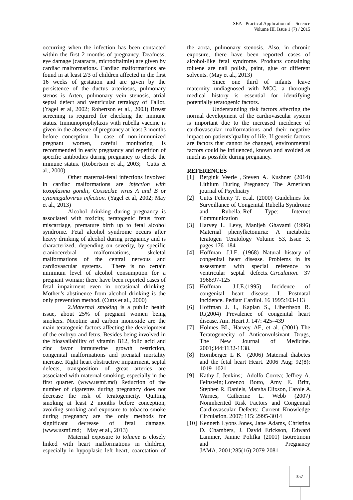occurring when the infection has been contacted within the first 2 months of pregnancy. Deafness, eye damage (cataracts, microoftalmie) are given by cardiac malformations. Cardiac malformations are found in at least 2/3 of children affected in the first 16 weeks of gestation and are given by the persistence of the ductus arteriosus, pulmonary stenos is Arten, pulmonary vein stenosis, atrial septal defect and ventricular tetralogy of Fallot. (Yagel et al, 2002; Robertson et al., 2003) Breast screening is required for checking the immune status. Immunoprophylaxis with rubella vaccine is given in the absence of pregnancy at least 3 months before conception. In case of non-immunized pregnant women, careful monitoring is recommended in early pregnancy and repetition of specific antibodies during pregnancy to check the immune status. (Robertson et al., 2003; Cutts et al., 2000)

Other maternal-fetal infections involved in cardiac malformations are *infection with toxoplasma gondii*, *Coxsackie virus A and B* or *cytomegalovirus infection*. (Yagel et al, 2002; May et al., 2013)

Alcohol drinking during pregnancy is associated with toxicity, teratogenic fetus from miscarriage, premature birth up to fetal alcohol syndrome. Fetal alcohol syndrome occurs after heavy drinking of alcohol during pregnancy and is characterized, depending on severity, by specific craniocerebral malformations, skeletal malformations of the central nervous and cardiovascular systems. There is no certain minimum level of alcohol consumption for a pregnant woman; there have been reported cases of fetal impairment even in occasional drinking. Mother's abstinence from alcohol drinking is the only prevention method. (Cutts et al., 2000)

2.*Maternal smoking* is a public health issue, about 25% of pregnant women being smokers. Nicotine and carbon monoxide are the main teratogenic factors affecting the development of the embryo and fetus. Besides being involved in the bioavailability of vitamin B12, folic acid and zinc favor intrauterine growth restriction, congenital malformations and prenatal mortality increase. Right heart obstructive impairment, septal defects, transposition of great arteries are associated with maternal smoking, especially in the first quarter. (www.usmf.md) Reduction of the number of cigarettes during pregnancy does not decrease the risk of teratogenicity. Quitting smoking at least 2 months before conception, avoiding smoking and exposure to tobacco smoke during pregnancy are the only methods for significant decrease of fetal damage. (www.usmf.md; May et al., 2013)

Maternal exposure to *toluene* is closely linked with heart malformations in children, especially in hypoplasic left heart, coarctation of the aorta, pulmonary stenosis. Also, in chronic exposure, there have been reported cases of alcohol-like fetal syndrome. Products containing toluene are nail polish, paint, glue or different solvents. (May et al., 2013)

Since one third of infants leave maternity undiagnosed with MCC, a thorough medical history is essential for identifying potentially teratogenic factors.

Understanding risk factors affecting the normal development of the cardiovascular system is important due to the increased incidence of cardiovascular malformations and their negative impact on patients'quality of life. If genetic factors are factors that cannot be changed, environmental factors could be influenced, known and avoided as much as possible during pregnancy.

## **REFERENCES**

- [1] Bergink Veerle , Steven A. Kushner (2014) Lithium During Pregnancy The American journal of Psychiatry
- [2] Cutts Felicity T. et.al. (2000) Guidelines for Surveillance of Congenital Rubella Syndrome and Rubella. Ref Type: Internet Communication
- [3] Harvey L. Levy, Manijeh Ghavami (1996) Maternal phenylketonuria: A metabolic teratogen Teratology Volume 53, Issue 3, pages 176–184
- [4] Hoffman J.I.E. (1968) Natural history of congenital heart disease. Problems in its assessment with special reference to ventricular septal defects. *Circulation*. 37 1968:97-125
- [5] Hoffman J.I.E.(1995) Incidence of congenital heart disease. I. Postnatal incidence. Pediatr Cardiol. 16 1995:103-113
- [6] Hoffman J. I., Kaplan S., Liberthson R. R.(2004) Prevalence of congenital heart disease. Am. Heart J. 147: 425–439
- [7] Holmes BL, Harvey AE, et al. (2001) The Teratogenecity of Anticonvulsivant Drugs, The New Journal of Medicine. 2001;344:1132-1138.
- [8] Hornberger L K (2006) Maternal diabetes and the fetal heart Heart. 2006 Aug; 92(8): 1019–1021
- [9] Kathy J. Jenkins; Adolfo Correa; Jeffrey A. Feinstein; Lorenzo Botto, Amy E. Britt, Stephen R. Daniels, Marsha Elixson, Carole A. Warnes, Catherine L. Webb (2007) Noninherited Risk Factors and Congenital Cardiovascular Defects: Current Knowledge Circulation. 2007; 115: 2995-3014
- [10] Kenneth Lyons Jones, Jane Adams, Christina D. Chambers, J. David Erickson, Edward Lammer, Janine Polifka (2001) Isotretinoin and Pregnancy JAMA. 2001;285(16):2079-2081